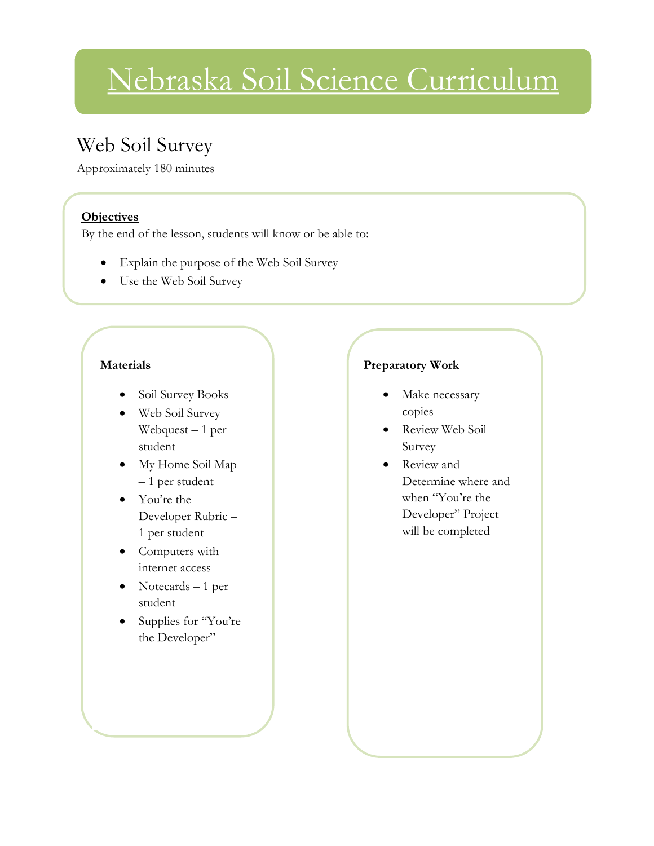# Nebraska Soil Science Curriculum

### Web Soil Survey

Approximately 180 minutes

#### **Objectives**

By the end of the lesson, students will know or be able to:

- Explain the purpose of the Web Soil Survey
- Use the Web Soil Survey

#### **Materials**

- Soil Survey Books
- Web Soil Survey Webquest – 1 per student
- My Home Soil Map – 1 per student
- You're the Developer Rubric – 1 per student
- Computers with internet access
- Notecards 1 per student
- Supplies for "You're the Developer"

#### **Preparatory Work**

- Make necessary copies
- Review Web Soil Survey
- Review and Determine where and when "You're the Developer" Project will be completed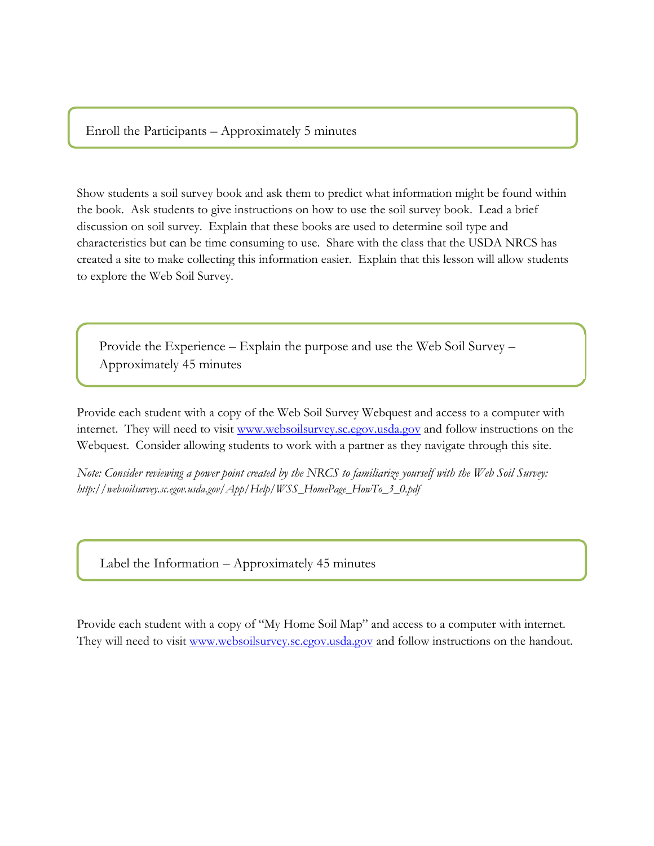Enroll the Participants – Approximately 5 minutes

Show students a soil survey book and ask them to predict what information might be found within the book. Ask students to give instructions on how to use the soil survey book. Lead a brief discussion on soil survey. Explain that these books are used to determine soil type and characteristics but can be time consuming to use. Share with the class that the USDA NRCS has created a site to make collecting this information easier. Explain that this lesson will allow students to explore the Web Soil Survey.

Provide the Experience – Explain the purpose and use the Web Soil Survey – Approximately 45 minutes

Provide each student with a copy of the Web Soil Survey Webquest and access to a computer with internet. They will need to visit [www.websoilsurvey.sc.egov.usda.gov](http://www.websoilsurvey.sc.egov.usda.gov/) and follow instructions on the Webquest. Consider allowing students to work with a partner as they navigate through this site.

*Note: Consider reviewing a power point created by the NRCS to familiarize yourself with the Web Soil Survey: http://websoilsurvey.sc.egov.usda.gov/App/Help/WSS\_HomePage\_HowTo\_3\_0.pdf*

Label the Information – Approximately 45 minutes

Provide each student with a copy of "My Home Soil Map" and access to a computer with internet. They will need to visit [www.websoilsurvey.sc.egov.usda.gov](http://www.websoilsurvey.sc.egov.usda.gov/) and follow instructions on the handout.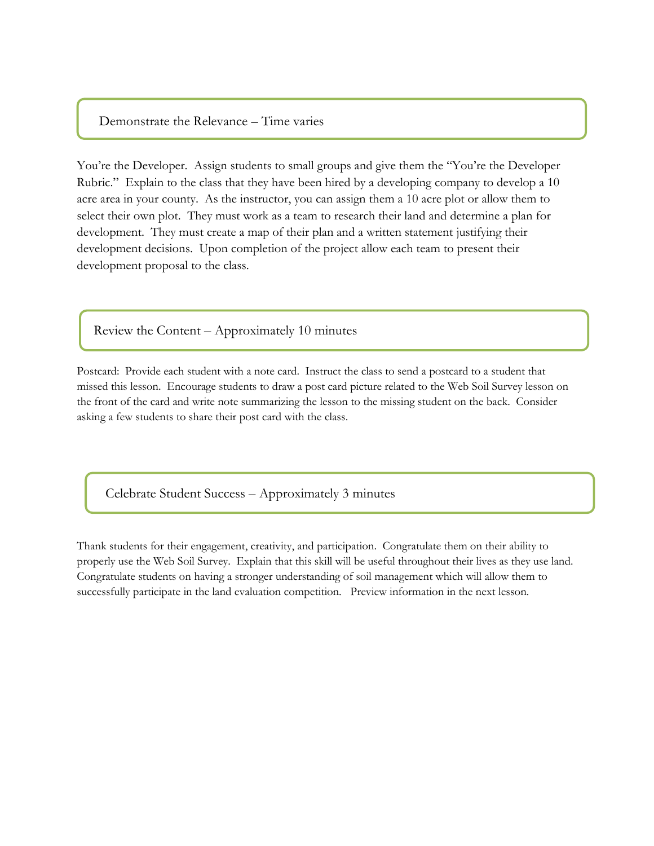#### Demonstrate the Relevance – Time varies

You're the Developer. Assign students to small groups and give them the "You're the Developer Rubric." Explain to the class that they have been hired by a developing company to develop a 10 acre area in your county. As the instructor, you can assign them a 10 acre plot or allow them to select their own plot. They must work as a team to research their land and determine a plan for development. They must create a map of their plan and a written statement justifying their development decisions. Upon completion of the project allow each team to present their development proposal to the class.

Review the Content – Approximately 10 minutes

Postcard: Provide each student with a note card. Instruct the class to send a postcard to a student that missed this lesson. Encourage students to draw a post card picture related to the Web Soil Survey lesson on the front of the card and write note summarizing the lesson to the missing student on the back. Consider asking a few students to share their post card with the class.

Celebrate Student Success – Approximately 3 minutes

Thank students for their engagement, creativity, and participation. Congratulate them on their ability to properly use the Web Soil Survey. Explain that this skill will be useful throughout their lives as they use land. Congratulate students on having a stronger understanding of soil management which will allow them to successfully participate in the land evaluation competition. Preview information in the next lesson.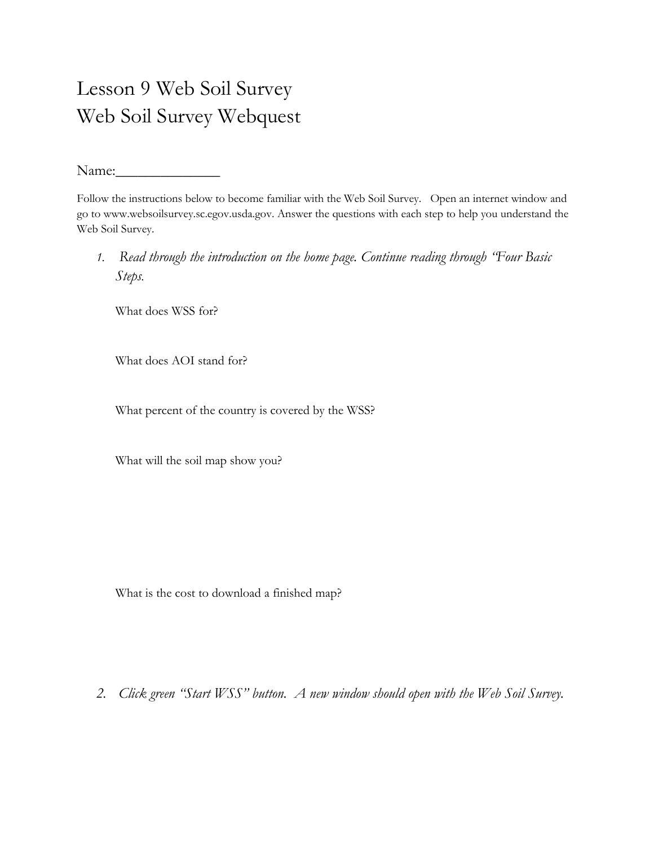## Lesson 9 Web Soil Survey Web Soil Survey Webquest

Name:

Follow the instructions below to become familiar with the Web Soil Survey. Open an internet window and go to www.websoilsurvey.sc.egov.usda.gov. Answer the questions with each step to help you understand the Web Soil Survey.

*1. Read through the introduction on the home page. Continue reading through "Four Basic Steps.* 

What does WSS for?

What does AOI stand for?

What percent of the country is covered by the WSS?

What will the soil map show you?

What is the cost to download a finished map?

*2. Click green "Start WSS" button. A new window should open with the Web Soil Survey.*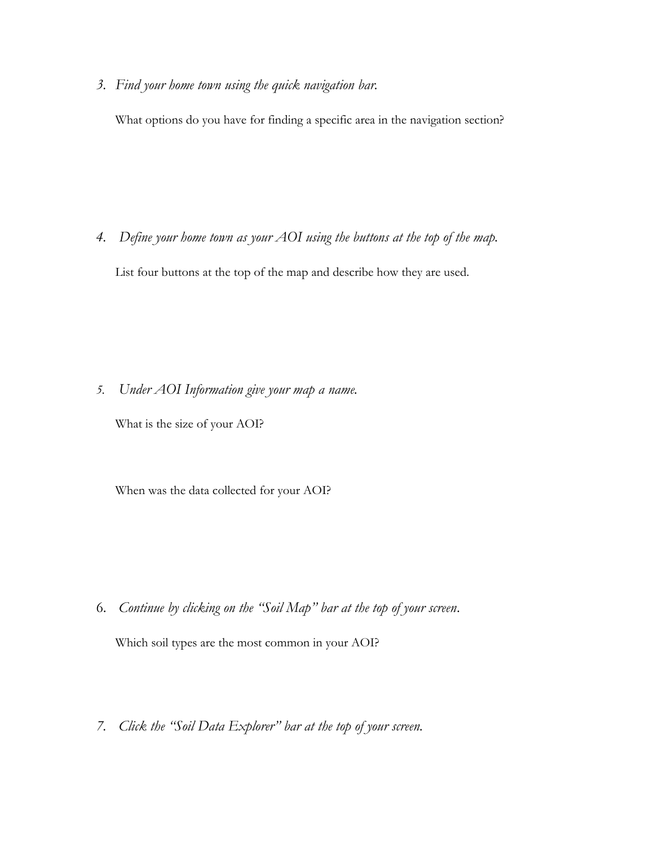*3. Find your home town using the quick navigation bar.*

What options do you have for finding a specific area in the navigation section?

*4. Define your home town as your AOI using the buttons at the top of the map.*

List four buttons at the top of the map and describe how they are used.

*5. Under AOI Information give your map a name.*

What is the size of your AOI?

When was the data collected for your AOI?

6. *Continue by clicking on the "Soil Map" bar at the top of your screen*.

Which soil types are the most common in your AOI?

*7. Click the "Soil Data Explorer" bar at the top of your screen.*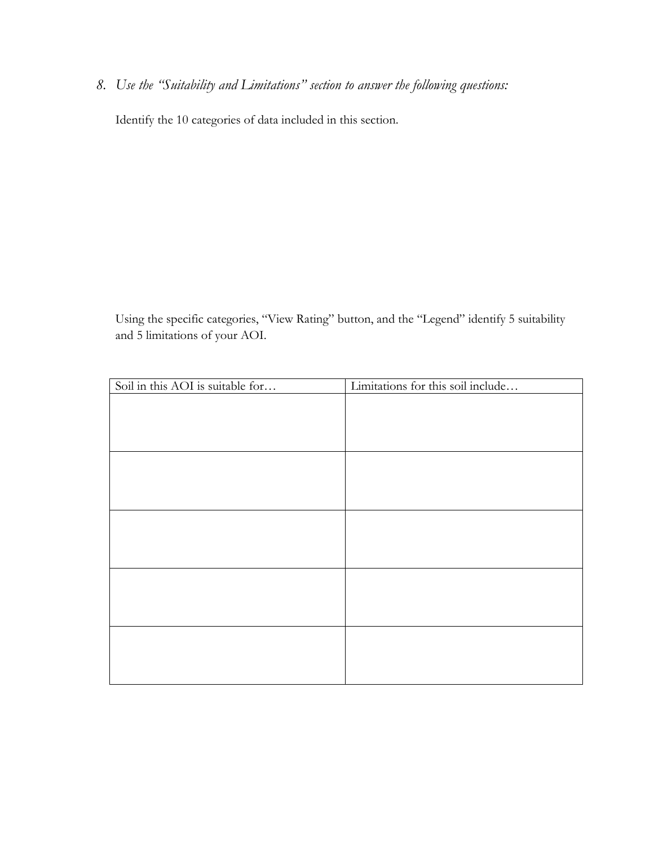*8. Use the "Suitability and Limitations" section to answer the following questions:*

Identify the 10 categories of data included in this section.

Using the specific categories, "View Rating" button, and the "Legend" identify 5 suitability and 5 limitations of your AOI.

| Soil in this AOI is suitable for | Limitations for this soil include |
|----------------------------------|-----------------------------------|
|                                  |                                   |
|                                  |                                   |
|                                  |                                   |
|                                  |                                   |
|                                  |                                   |
|                                  |                                   |
|                                  |                                   |
|                                  |                                   |
|                                  |                                   |
|                                  |                                   |
|                                  |                                   |
|                                  |                                   |
|                                  |                                   |
|                                  |                                   |
|                                  |                                   |
|                                  |                                   |
|                                  |                                   |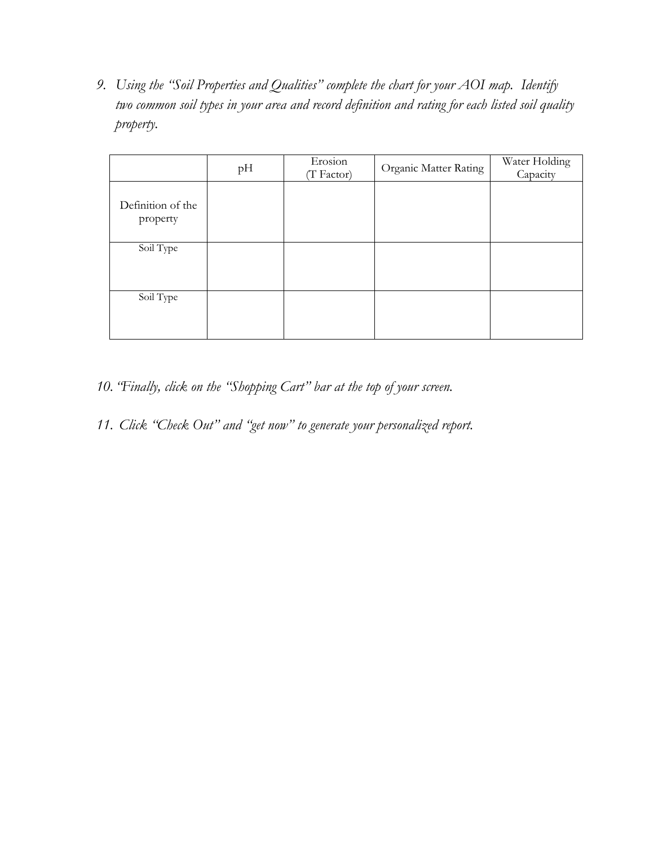*9. Using the "Soil Properties and Qualities" complete the chart for your AOI map. Identify two common soil types in your area and record definition and rating for each listed soil quality property.*

|                               | pН | Erosion<br>(T Factor) | Organic Matter Rating | Water Holding<br>Capacity |
|-------------------------------|----|-----------------------|-----------------------|---------------------------|
| Definition of the<br>property |    |                       |                       |                           |
| Soil Type                     |    |                       |                       |                           |
| Soil Type                     |    |                       |                       |                           |

- *10. "Finally, click on the "Shopping Cart" bar at the top of your screen.*
- *11. Click "Check Out" and "get now" to generate your personalized report.*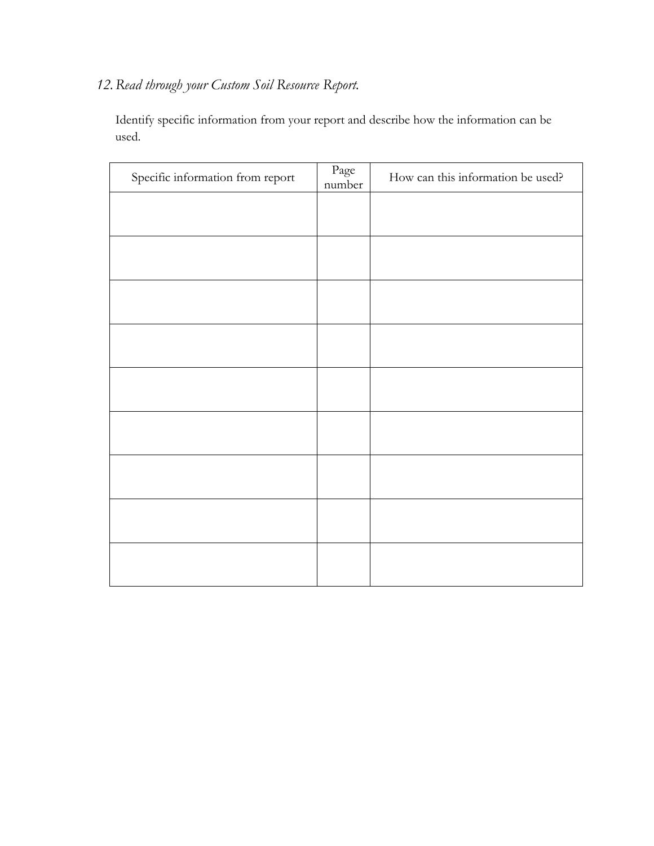### *12.Read through your Custom Soil Resource Report.*

Identify specific information from your report and describe how the information can be used.

| Specific information from report | $\rm Page$<br>number | How can this information be used? |
|----------------------------------|----------------------|-----------------------------------|
|                                  |                      |                                   |
|                                  |                      |                                   |
|                                  |                      |                                   |
|                                  |                      |                                   |
|                                  |                      |                                   |
|                                  |                      |                                   |
|                                  |                      |                                   |
|                                  |                      |                                   |
|                                  |                      |                                   |
|                                  |                      |                                   |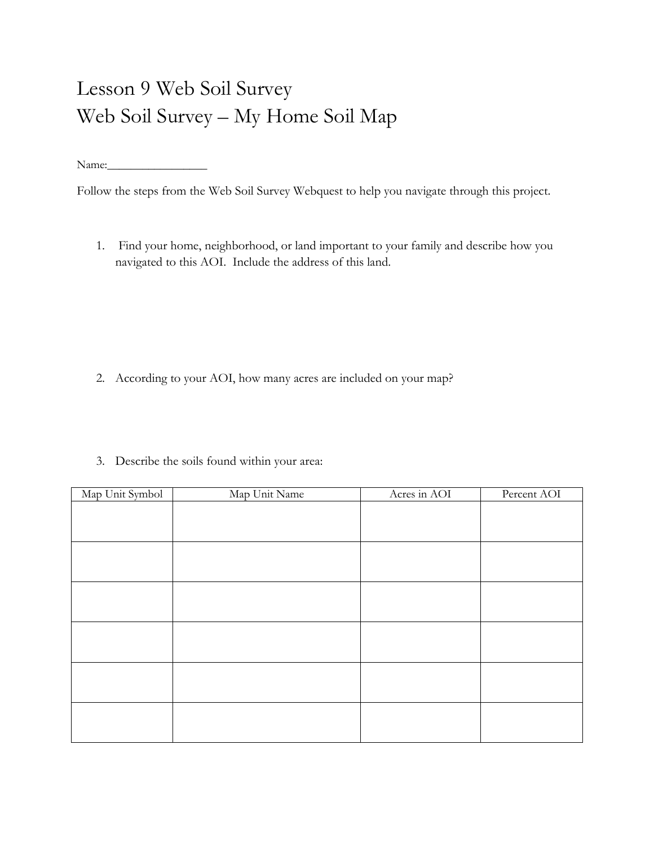# Lesson 9 Web Soil Survey Web Soil Survey – My Home Soil Map

Name:\_\_\_\_\_\_\_\_\_\_\_\_\_\_\_\_\_

Follow the steps from the Web Soil Survey Webquest to help you navigate through this project.

1. Find your home, neighborhood, or land important to your family and describe how you navigated to this AOI. Include the address of this land.

- 2. According to your AOI, how many acres are included on your map?
- 3. Describe the soils found within your area:

| Map Unit Symbol | Map Unit Name | Acres in AOI | Percent AOI |
|-----------------|---------------|--------------|-------------|
|                 |               |              |             |
|                 |               |              |             |
|                 |               |              |             |
|                 |               |              |             |
|                 |               |              |             |
|                 |               |              |             |
|                 |               |              |             |
|                 |               |              |             |
|                 |               |              |             |
|                 |               |              |             |
|                 |               |              |             |
|                 |               |              |             |
|                 |               |              |             |
|                 |               |              |             |
|                 |               |              |             |
|                 |               |              |             |
|                 |               |              |             |
|                 |               |              |             |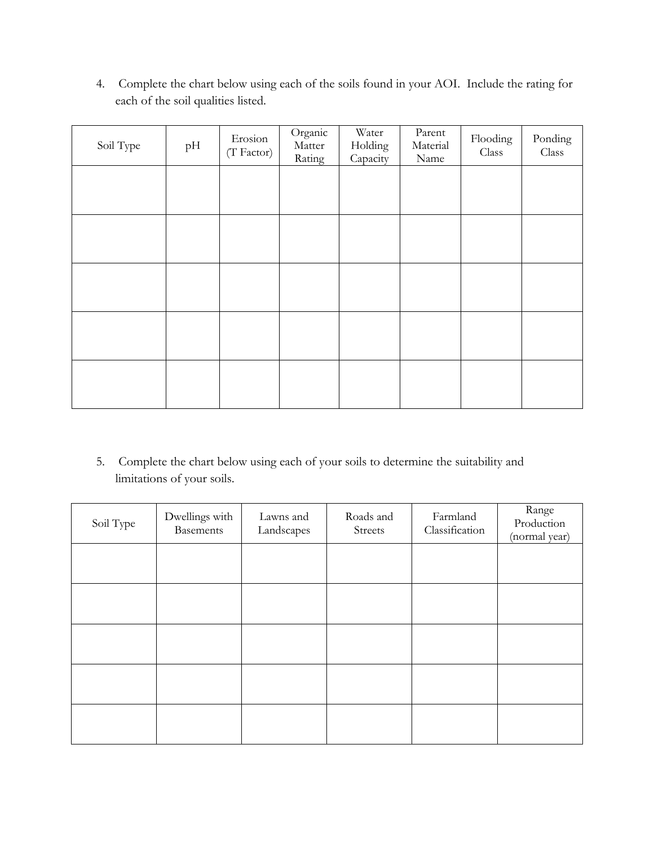4. Complete the chart below using each of the soils found in your AOI. Include the rating for each of the soil qualities listed.

| Soil Type | pH | Erosion<br>(T Factor) | Organic<br>Matter<br>Rating | Water<br>Holding<br>Capacity | Parent<br>Material<br>Name | Flooding<br>Class | Ponding<br>Class |
|-----------|----|-----------------------|-----------------------------|------------------------------|----------------------------|-------------------|------------------|
|           |    |                       |                             |                              |                            |                   |                  |
|           |    |                       |                             |                              |                            |                   |                  |
|           |    |                       |                             |                              |                            |                   |                  |
|           |    |                       |                             |                              |                            |                   |                  |
|           |    |                       |                             |                              |                            |                   |                  |
|           |    |                       |                             |                              |                            |                   |                  |

5. Complete the chart below using each of your soils to determine the suitability and limitations of your soils.

| Soil Type | Dwellings with<br><b>Basements</b> | Lawns and<br>Landscapes | Roads and<br>Streets | Farmland<br>Classification | Range<br>Production<br>(normal year) |
|-----------|------------------------------------|-------------------------|----------------------|----------------------------|--------------------------------------|
|           |                                    |                         |                      |                            |                                      |
|           |                                    |                         |                      |                            |                                      |
|           |                                    |                         |                      |                            |                                      |
|           |                                    |                         |                      |                            |                                      |
|           |                                    |                         |                      |                            |                                      |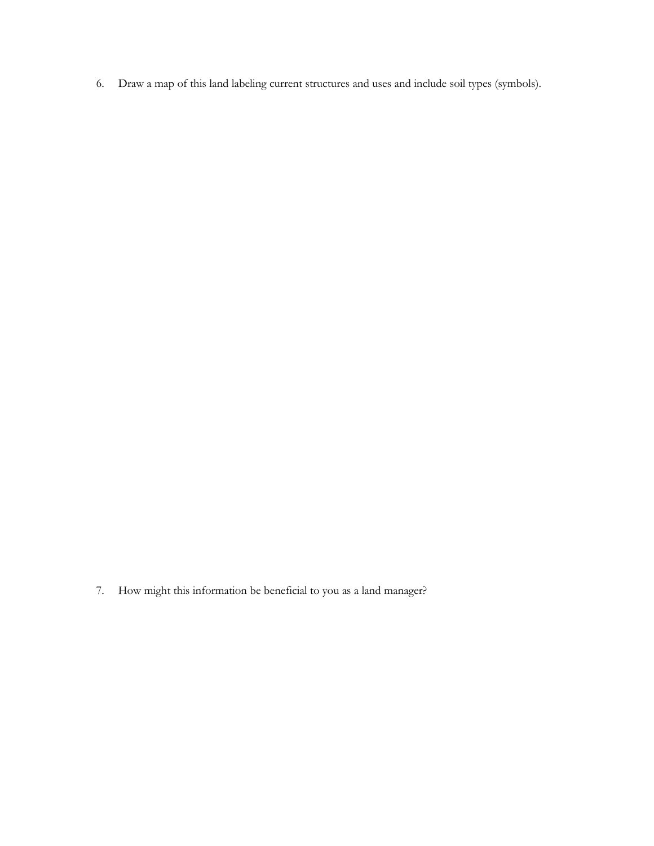6. Draw a map of this land labeling current structures and uses and include soil types (symbols).

7. How might this information be beneficial to you as a land manager?